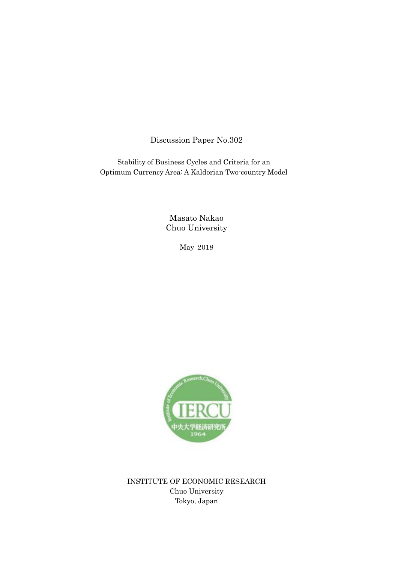Discussion Paper No.302

Stability of Business Cycles and Criteria for an Optimum Currency Area: A Kaldorian Two-country Model

> Masato Nakao Chuo University

> > May 2018



INSTITUTE OF ECONOMIC RESEARCH Chuo University Tokyo, Japan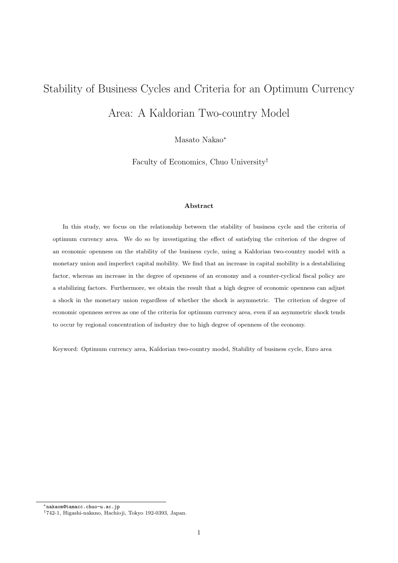# Stability of Business Cycles and Criteria for an Optimum Currency Area: A Kaldorian Two-country Model

Masato Nakao*<sup>∗</sup>*

Faculty of Economics, Chuo University*†*

#### **Abstract**

In this study, we focus on the relationship between the stability of business cycle and the criteria of optimum currency area. We do so by investigating the effect of satisfying the criterion of the degree of an economic openness on the stability of the business cycle, using a Kaldorian two-country model with a monetary union and imperfect capital mobility. We find that an increase in capital mobility is a destabilizing factor, whereas an increase in the degree of openness of an economy and a counter-cyclical fiscal policy are a stabilizing factors. Furthermore, we obtain the result that a high degree of economic openness can adjust a shock in the monetary union regardless of whether the shock is asymmetric. The criterion of degree of economic openness serves as one of the criteria for optimum currency area, even if an asymmetric shock tends to occur by regional concentration of industry due to high degree of openness of the economy.

Keyword: Optimum currency area, Kaldorian two-country model, Stability of business cycle, Euro area

*<sup>∗</sup>*nakaom@tamacc.chuo-u.ac.jp

*<sup>†</sup>*742-1, Higashi-nakano, Hachioji, Tokyo 192-0393, Japan.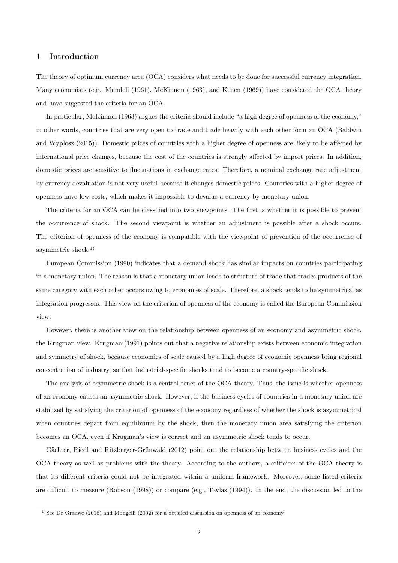## **1 Introduction**

The theory of optimum currency area (OCA) considers what needs to be done for successful currency integration. Many economists (e.g., Mundell (1961), McKinnon (1963), and Kenen (1969)) have considered the OCA theory and have suggested the criteria for an OCA.

In particular, McKinnon (1963) argues the criteria should include "a high degree of openness of the economy," in other words, countries that are very open to trade and trade heavily with each other form an OCA (Baldwin and Wyplosz (2015)). Domestic prices of countries with a higher degree of openness are likely to be affected by international price changes, because the cost of the countries is strongly affected by import prices. In addition, domestic prices are sensitive to fluctuations in exchange rates. Therefore, a nominal exchange rate adjustment by currency devaluation is not very useful because it changes domestic prices. Countries with a higher degree of openness have low costs, which makes it impossible to devalue a currency by monetary union.

The criteria for an OCA can be classified into two viewpoints. The first is whether it is possible to prevent the occurrence of shock. The second viewpoint is whether an adjustment is possible after a shock occurs. The criterion of openness of the economy is compatible with the viewpoint of prevention of the occurrence of asymmetric shock.1)

European Commission (1990) indicates that a demand shock has similar impacts on countries participating in a monetary union. The reason is that a monetary union leads to structure of trade that trades products of the same category with each other occurs owing to economies of scale. Therefore, a shock tends to be symmetrical as integration progresses. This view on the criterion of openness of the economy is called the European Commission view.

However, there is another view on the relationship between openness of an economy and asymmetric shock, the Krugman view. Krugman (1991) points out that a negative relationship exists between economic integration and symmetry of shock, because economies of scale caused by a high degree of economic openness bring regional concentration of industry, so that industrial-specific shocks tend to become a country-specific shock.

The analysis of asymmetric shock is a central tenet of the OCA theory. Thus, the issue is whether openness of an economy causes an asymmetric shock. However, if the business cycles of countries in a monetary union are stabilized by satisfying the criterion of openness of the economy regardless of whether the shock is asymmetrical when countries depart from equilibrium by the shock, then the monetary union area satisfying the criterion becomes an OCA, even if Krugman's view is correct and an asymmetric shock tends to occur.

Gächter, Riedl and Ritzberger-Grünwald (2012) point out the relationship between business cycles and the OCA theory as well as problems with the theory. According to the authors, a criticism of the OCA theory is that its different criteria could not be integrated within a uniform framework. Moreover, some listed criteria are difficult to measure (Robson (1998)) or compare (e.g., Tavlas (1994)). In the end, the discussion led to the

<sup>&</sup>lt;sup>1</sup>)See De Grauwe (2016) and Mongelli (2002) for a detailed discussion on openness of an economy.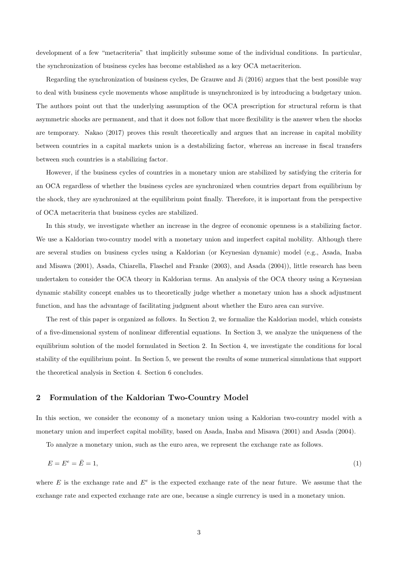development of a few "metacriteria" that implicitly subsume some of the individual conditions. In particular, the synchronization of business cycles has become established as a key OCA metacriterion.

Regarding the synchronization of business cycles, De Grauwe and Ji (2016) argues that the best possible way to deal with business cycle movements whose amplitude is unsynchronized is by introducing a budgetary union. The authors point out that the underlying assumption of the OCA prescription for structural reform is that asymmetric shocks are permanent, and that it does not follow that more flexibility is the answer when the shocks are temporary. Nakao (2017) proves this result theoretically and argues that an increase in capital mobility between countries in a capital markets union is a destabilizing factor, whereas an increase in fiscal transfers between such countries is a stabilizing factor.

However, if the business cycles of countries in a monetary union are stabilized by satisfying the criteria for an OCA regardless of whether the business cycles are synchronized when countries depart from equilibrium by the shock, they are synchronized at the equilibrium point finally. Therefore, it is important from the perspective of OCA metacriteria that business cycles are stabilized.

In this study, we investigate whether an increase in the degree of economic openness is a stabilizing factor. We use a Kaldorian two-country model with a monetary union and imperfect capital mobility. Although there are several studies on business cycles using a Kaldorian (or Keynesian dynamic) model (e.g., Asada, Inaba and Misawa (2001), Asada, Chiarella, Flaschel and Franke (2003), and Asada (2004)), little research has been undertaken to consider the OCA theory in Kaldorian terms. An analysis of the OCA theory using a Keynesian dynamic stability concept enables us to theoretically judge whether a monetary union has a shock adjustment function, and has the advantage of facilitating judgment about whether the Euro area can survive.

The rest of this paper is organized as follows. In Section 2, we formalize the Kaldorian model, which consists of a five-dimensional system of nonlinear differential equations. In Section 3, we analyze the uniqueness of the equilibrium solution of the model formulated in Section 2. In Section 4, we investigate the conditions for local stability of the equilibrium point. In Section 5, we present the results of some numerical simulations that support the theoretical analysis in Section 4. Section 6 concludes.

#### **2 Formulation of the Kaldorian Two-Country Model**

In this section, we consider the economy of a monetary union using a Kaldorian two-country model with a monetary union and imperfect capital mobility, based on Asada, Inaba and Misawa (2001) and Asada (2004).

To analyze a monetary union, such as the euro area, we represent the exchange rate as follows.

$$
E = E^e = \bar{E} = 1,\tag{1}
$$

where  $E$  is the exchange rate and  $E^e$  is the expected exchange rate of the near future. We assume that the exchange rate and expected exchange rate are one, because a single currency is used in a monetary union.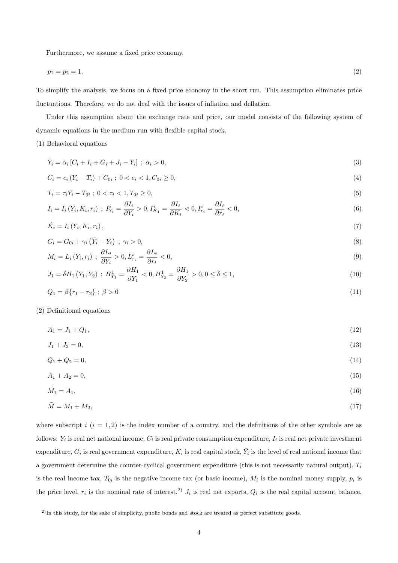Furthermore, we assume a fixed price economy.

$$
p_1 = p_2 = 1.\tag{2}
$$

To simplify the analysis, we focus on a fixed price economy in the short run. This assumption eliminates price fluctuations. Therefore, we do not deal with the issues of inflation and deflation.

Under this assumption about the exchange rate and price, our model consists of the following system of dynamic equations in the medium run with flexible capital stock.

#### (1) Behavioral equations

$$
\dot{Y}_i = \alpha_i \left[ C_i + I_i + G_i + J_i - Y_i \right] \; ; \; \alpha_i > 0,\tag{3}
$$

$$
C_i = c_i (Y_i - T_i) + C_{0i} \; ; \; 0 < c_i < 1, \, C_{0i} \ge 0,\tag{4}
$$

$$
T_i = \tau_i Y_i - T_{0i} \; ; \; 0 < \tau_i < 1, \quad T_{0i} \ge 0,\tag{5}
$$

$$
I_i = I_i(Y_i, K_i, r_i) \; ; \; I_{Y_i}^i = \frac{\partial I_i}{\partial Y_i} > 0, \; I_{K_1}^i = \frac{\partial I_i}{\partial K_i} < 0, \; I_{r_i}^i = \frac{\partial I_i}{\partial r_i} < 0,\tag{6}
$$

$$
\dot{K}_i = I_i \left( Y_i, K_i, r_i \right),\tag{7}
$$

$$
G_i = G_{0i} + \gamma_i \left( \bar{Y}_i - Y_i \right) ; \ \gamma_i > 0,\tag{8}
$$

$$
M_i = L_i(Y_i, r_i) \; ; \; \frac{\partial L_i}{\partial Y_i} > 0, \, L_{r_i}^i = \frac{\partial L_i}{\partial r_i} < 0,\tag{9}
$$

$$
J_1 = \delta H_1(Y_1, Y_2) \; ; \; H_{Y_1}^1 = \frac{\partial H_1}{\partial Y_1} < 0, H_{Y_2}^1 = \frac{\partial H_1}{\partial Y_2} > 0, 0 \le \delta \le 1,\tag{10}
$$

$$
Q_1 = \beta \{r_1 - r_2\} \; ; \; \beta > 0 \tag{11}
$$

#### (2) Definitional equations

$$
A_1 = J_1 + Q_1,\tag{12}
$$

$$
J_1 + J_2 = 0,\t(13)
$$

$$
Q_1 + Q_2 = 0,\t\t(14)
$$

$$
A_1 + A_2 = 0,\t\t(15)
$$

$$
\dot{M}_1 = A_1,\tag{16}
$$

$$
\bar{M} = M_1 + M_2,\tag{17}
$$

where subscript  $i$   $(i = 1, 2)$  is the index number of a country, and the definitions of the other symbols are as follows:  $Y_i$  is real net national income,  $C_i$  is real private consumption expenditure,  $I_i$  is real net private investment  $\alpha$  expenditure,  $G_i$  is real government expenditure,  $K_i$  is real capital stock,  $\bar{Y}_i$  is the level of real national income that a government determine the counter-cyclical government expenditure (this is not necessarily natural output), *T<sup>i</sup>* is the real income tax,  $T_{0i}$  is the negative income tax (or basic income),  $M_i$  is the nominal money supply,  $p_i$  is the price level,  $r_i$  is the nominal rate of interest,<sup>2)</sup>  $J_i$  is real net exports,  $Q_i$  is the real capital account balance,

<sup>&</sup>lt;sup>2)</sup>In this study, for the sake of simplicity, public bonds and stock are treated as perfect substitute goods.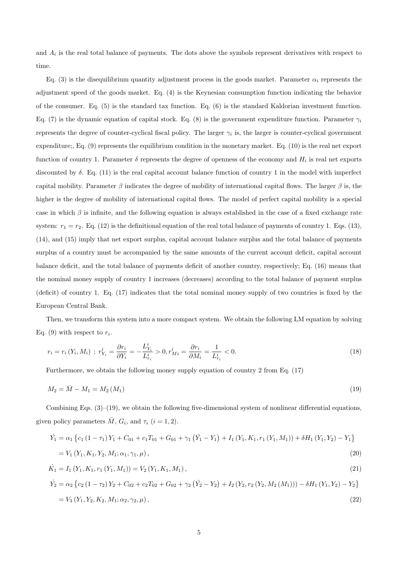and  $A_i$  is the real total balance of payments. The dots above the symbols represent derivatives with respect to time.

Eq. (3) is the disequilibrium quantity adjustment process in the goods market. Parameter  $\alpha_i$  represents the adjustment speed of the goods market. Eq. (4) is the Keynesian consumption function indicating the behavior of the consumer. Eq. (5) is the standard tax function. Eq. (6) is the standard Kaldorian investment function. Eq. (7) is the dynamic equation of capital stock. Eq. (8) is the government expenditure function. Parameter  $\gamma_i$ represents the degree of counter-cyclical fiscal policy. The larger  $\gamma_i$  is, the larger is counter-cyclical government expenditure;, Eq. (9) represents the equilibrium condition in the monetary market. Eq. (10) is the real net export function of country 1. Parameter  $\delta$  represents the degree of openness of the economy and  $H_i$  is real net exports discounted by *δ*. Eq. (11) is the real capital account balance function of country 1 in the model with imperfect capital mobility. Parameter  $\beta$  indicates the degree of mobility of international capital flows. The larger  $\beta$  is, the higher is the degree of mobility of international capital flows. The model of perfect capital mobility is a special case in which  $\beta$  is infinite, and the following equation is always established in the case of a fixed exchange rate system:  $r_1 = r_2$ . Eq. (12) is the definitional equation of the real total balance of payments of country 1. Eqs. (13), (14), and (15) imply that net export surplus, capital account balance surplus and the total balance of payments surplus of a country must be accompanied by the same amounts of the current account deficit, capital account balance deficit, and the total balance of payments deficit of another country, respectively; Eq. (16) means that the nominal money supply of country 1 increases (decreases) according to the total balance of payment surplus (deficit) of country 1. Eq. (17) indicates that the total nominal money supply of two countries is fixed by the European Central Bank.

Then, we transform this system into a more compact system. We obtain the following LM equation by solving Eq. (9) with respect to  $r_i$ .

$$
r_i = r_i(Y_i, M_i) \; ; \; r_{Y_i}^i = \frac{\partial r_i}{\partial Y_i} = -\frac{L_{Y_i}^i}{L_{r_i}^i} > 0, \; r_{Mi}^i = \frac{\partial r_i}{\partial M_i} = \frac{1}{L_{r_i}^i} < 0. \tag{18}
$$

Furthermore, we obtain the following money supply equation of country 2 from Eq. (17)

$$
M_2 = \overline{M} - M_1 = M_2 \left( M_1 \right) \tag{19}
$$

Combining Eqs. (3)–(19), we obtain the following five-dimensional system of nonlinear differential equations, given policy parameters  $\overline{M}$ ,  $G_i$ , and  $\tau_i$  (*i* = 1, 2).

$$
\dot{Y}_1 = \alpha_1 \left\{ c_1 \left( 1 - \tau_1 \right) Y_1 + C_{01} + c_1 T_{01} + G_{01} + \gamma_1 \left( \bar{Y}_1 - Y_1 \right) + I_1 \left( Y_1, K_1, r_1 \left( Y_1, M_1 \right) \right) + \delta H_1 \left( Y_1, Y_2 \right) - Y_1 \right\}
$$
\n
$$
= V_1 \left( Y_1, K_1, Y_2, M_1; \alpha_1, \gamma_1, \mu \right),\tag{20}
$$

$$
\dot{K}_1 = I_1(Y_1, K_1, r_1(Y_1, M_1)) = V_2(Y_1, K_1, M_1), \qquad (21)
$$

$$
\dot{Y}_2 = \alpha_2 \left\{ c_2 \left( 1 - \tau_2 \right) Y_2 + C_{02} + c_2 T_{02} + G_{02} + \gamma_2 \left( \bar{Y}_2 - Y_2 \right) + I_2 \left( Y_2, r_2 \left( Y_2, M_2 \left( M_1 \right) \right) \right) - \delta H_1 \left( Y_1, Y_2 \right) - Y_2 \right\}
$$
\n
$$
= V_3 \left( Y_1, Y_2, K_2, M_1; \alpha_2, \gamma_2, \mu \right),\tag{22}
$$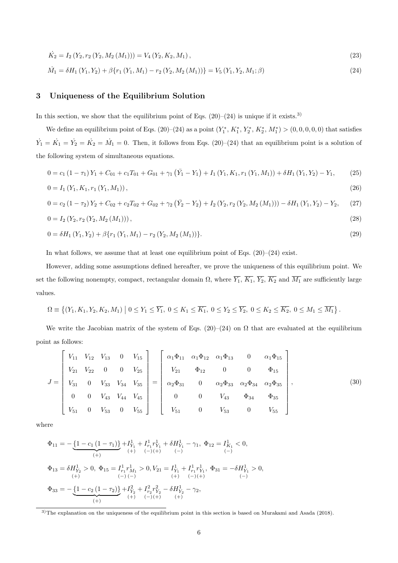$$
\dot{K}_2 = I_2 \left( Y_2, r_2 \left( Y_2, M_2 \left( M_1 \right) \right) \right) = V_4 \left( Y_2, K_2, M_1 \right),\tag{23}
$$

$$
\dot{M}_1 = \delta H_1(Y_1, Y_2) + \beta \{r_1(Y_1, M_1) - r_2(Y_2, M_2(M_1))\} = V_5(Y_1, Y_2, M_1; \beta)
$$
\n(24)

## **3 Uniqueness of the Equilibrium Solution**

In this section, we show that the equilibrium point of Eqs.  $(20)-(24)$  is unique if it exists.<sup>3)</sup>

We define an equilibrium point of Eqs. (20)–(24) as a point  $(Y_1^*, K_1^*, Y_2^*, K_2^*, M_1^*)$  > (0,0,0,0,0) that satisfies  $\dot{Y}_1 = \dot{K}_1 = \dot{Y}_2 = \dot{K}_2 = \dot{M}_1 = 0$ . Then, it follows from Eqs. (20)–(24) that an equilibrium point is a solution of the following system of simultaneous equations.

$$
0 = c_1 (1 - \tau_1) Y_1 + C_{01} + c_1 T_{01} + G_{01} + \gamma_1 (\bar{Y}_1 - Y_1) + I_1 (Y_1, K_1, r_1 (Y_1, M_1)) + \delta H_1 (Y_1, Y_2) - Y_1,
$$
 (25)

$$
0 = I_1(Y_1, K_1, r_1(Y_1, M_1)), \tag{26}
$$

$$
0 = c_2 (1 - \tau_2) Y_2 + C_{02} + c_2 T_{02} + G_{02} + \gamma_2 (\bar{Y}_2 - Y_2) + I_2 (Y_2, r_2 (Y_2, M_2 (M_1))) - \delta H_1 (Y_1, Y_2) - Y_2, \tag{27}
$$

$$
0 = I_2(Y_2, r_2(Y_2, M_2(M_1))), \t\t(28)
$$

$$
0 = \delta H_1(Y_1, Y_2) + \beta \{r_1(Y_1, M_1) - r_2(Y_2, M_2(M_1))\}.
$$
\n(29)

In what follows, we assume that at least one equilibrium point of Eqs.  $(20)-(24)$  exist.

However, adding some assumptions defined hereafter, we prove the uniqueness of this equilibrium point. We set the following nonempty, compact, rectangular domain  $\Omega$ , where  $\overline{Y_1}$ ,  $\overline{K_1}$ ,  $\overline{Y_2}$ ,  $\overline{K_2}$  and  $\overline{M_1}$  are sufficiently large values.

$$
\Omega \equiv \left\{ (Y_1, K_1, Y_2, K_2, M_1) \mid 0 \le Y_1 \le \overline{Y_1}, \ 0 \le K_1 \le \overline{K_1}, \ 0 \le Y_2 \le \overline{Y_2}, \ 0 \le K_2 \le \overline{K_2}, \ 0 \le M_1 \le \overline{M_1} \right\}.
$$

We write the Jacobian matrix of the system of Eqs. (20)–(24) on  $\Omega$  that are evaluated at the equilibrium point as follows:

$$
J = \begin{bmatrix} V_{11} & V_{12} & V_{13} & 0 & V_{15} \\ V_{21} & V_{22} & 0 & 0 & V_{25} \\ V_{31} & 0 & V_{33} & V_{34} & V_{35} \\ 0 & 0 & V_{43} & V_{44} & V_{45} \\ V_{51} & 0 & V_{53} & 0 & V_{55} \end{bmatrix} = \begin{bmatrix} \alpha_1 \Phi_{11} & \alpha_1 \Phi_{12} & \alpha_1 \Phi_{13} & 0 & \alpha_1 \Phi_{15} \\ V_{21} & \Phi_{12} & 0 & 0 & \Phi_{15} \\ \alpha_2 \Phi_{31} & 0 & \alpha_2 \Phi_{33} & \alpha_2 \Phi_{34} & \alpha_2 \Phi_{35} \\ 0 & 0 & V_{43} & \Phi_{34} & \Phi_{35} \\ V_{51} & 0 & V_{53} & 0 & V_{55} \end{bmatrix},
$$
(30)

where

$$
\begin{aligned} \Phi_{11} & = -\underbrace{\left\{1-c_1\left(1-\tau_1\right)\right\}}_{\text{(+)}} + I_{Y_1}^1 + I_{r_1}^1 r_{Y_1}^1 + \delta H_{Y_1}^1 - \gamma_1, \ \Phi_{12} = I_{K_1}^1 < 0, \\ & \xrightarrow{\text{(+)}} \quad \text{(+)} \quad \text{(+)} \quad \text{(+)} \quad \text{(+)} \quad \text{(+)} \quad \text{(+)} \end{aligned}
$$
\n
$$
\Phi_{13} = \delta H_{Y_2}^1 > 0, \ \Phi_{15} = I_{r_1}^1 r_{M_1}^1 > 0, \ V_{21} = I_{Y_1}^1 + I_{r_1}^1 r_{Y_1}^1, \ \Phi_{31} = -\delta H_{Y_1}^1 > 0, \\ & \xrightarrow{\text{(+)}} \quad \text{(+)} \quad \text{(+)} \quad \text{(+)} \quad \text{(+)} \quad \text{(+)}
$$
\n
$$
\Phi_{33} = -\underbrace{\left\{1-c_2\left(1-\tau_2\right)\right\}}_{\text{(+)}} + I_{Y_2}^2 + I_{r_2}^2 r_{Y_2}^2 - \delta H_{Y_2}^1 - \gamma_2, \\ & \xrightarrow{\text{(+)}} \quad \text{(+)} \quad \text{(+)} \quad \text{(+)} \quad \text{(+)}
$$

<sup>3)</sup>The explanation on the uniqueness of the equilibrium point in this section is based on Murakami and Asada (2018).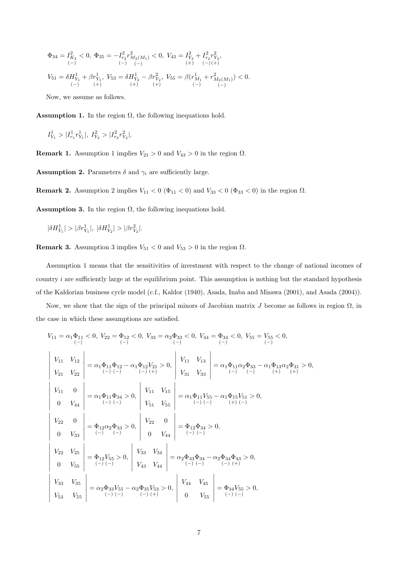$$
\begin{array}{l} \Phi_{34}=I_{K_{2}}^{2}<0,\;\Phi_{35}=-I_{r_{2}}^{2}r_{M_{2}(M_{1})}^{2}<0,\;V_{43}=I_{Y_{2}}^{2}+I_{r_{2}}^{2}r_{Y_{2}}^{2},\\ \qquad \ (-)\hspace{0.5cm} (-)\hspace{0.5cm} (-)\hspace{0.5cm} (-)\hspace{0.5cm} (+)\hspace{0.5cm} (+)\hspace{0.5cm} (-)(+)\\ \end{array}
$$
 
$$
V_{51}=\delta H_{Y_{1}}^{1}+\beta r_{Y_{1}}^{1},\;V_{53}=\delta H_{Y_{2}}^{1}-\beta r_{Y_{2}}^{2},\;V_{55}=\beta (r_{M_{1}}^{1}+r_{M_{2}(M_{1})}^{2})<0.
$$

Now, we assume as follows.

**Assumption 1.** In the region  $\Omega$ , the following inequations hold.

$$
I_{Y_1}^1 > |I_{r_1}^1 r_{Y_1}^1|, I_{Y_2}^2 > |I_{r_2}^2 r_{Y_2}^2|.
$$

**Remark 1.** Assumption 1 implies  $V_{21} > 0$  and  $V_{43} > 0$  in the region  $\Omega$ .

**Assumption 2.** Parameters  $\delta$  and  $\gamma_i$  are sufficiently large.

**Remark 2.** Assumption 2 implies  $V_{11} < 0$  (Φ<sub>11</sub> < 0) and  $V_{33} < 0$  (Φ<sub>33</sub> < 0) in the region Ω.

**Assumption 3.** In the region  $\Omega$ , the following inequations hold.

 $|\delta H_{Y_1}^1| > |\beta r^1_{Y_1}|, |\delta H_{Y_2}^1| > |\beta r^2_{Y_2}|.$ 

**Remark 3.** Assumption 3 implies  $V_{51} < 0$  and  $V_{53} > 0$  in the region  $\Omega$ .

Assumption 1 means that the sensitivities of investment with respect to the change of national incomes of country *i* are sufficiently large at the equilibrium point. This assumption is nothing but the standard hypothesis of the Kaldorian business cycle model (c.f., Kaldor (1940), Asada, Inaba and Misawa (2001), and Asada (2004)).

Now, we show that the sign of the principal minors of Jacobian matrix *J* become as follows in region  $Ω$ , in the case in which these assumptions are satisfied.

$$
V_{11} = \alpha_1 \Phi_{11} < 0, V_{22} = \Phi_{12} < 0, V_{33} = \alpha_2 \Phi_{33} < 0, V_{44} = \Phi_{34} < 0, V_{55} = V_{55} < 0,
$$
\n
$$
\begin{vmatrix}\nV_{11} & V_{12} \\
V_{21} & V_{22}\n\end{vmatrix} = \alpha_1 \Phi_{11} \Phi_{12} - \alpha_1 \Phi_{12} V_{21} > 0, \begin{vmatrix}\nV_{11} & V_{13} \\
V_{31} & V_{33}\n\end{vmatrix} = \alpha_1 \Phi_{11} \alpha_2 \Phi_{33} - \alpha_1 \Phi_{13} \alpha_2 \Phi_{31} > 0,
$$
\n
$$
\begin{vmatrix}\nV_{11} & 0 \\
V_{11} & 0 \\
0 & V_{44}\n\end{vmatrix} = \alpha_1 \Phi_{11} \Phi_{34} > 0, \begin{vmatrix}\nV_{11} & V_{15} \\
V_{51} & V_{55} \\
0 & V_{51}\n\end{vmatrix} = \alpha_1 \Phi_{11} V_{55} - \alpha_1 \Phi_{15} V_{51} > 0,
$$
\n
$$
\begin{vmatrix}\nV_{22} & 0 \\
0 & V_{33}\n\end{vmatrix} = \Phi_{12} \alpha_2 \Phi_{33} > 0, \begin{vmatrix}\nV_{22} & 0 \\
0 & V_{44}\n\end{vmatrix} = \Phi_{12} \Phi_{34} > 0,
$$
\n
$$
\begin{vmatrix}\nV_{22} & V_{25} \\
V_{22} & V_{25} \\
0 & V_{55}\n\end{vmatrix} = \Phi_{12} V_{55} > 0, \begin{vmatrix}\nV_{33} & V_{34} \\
V_{43} & V_{44}\n\end{vmatrix} = \alpha_2 \Phi_{33} \Phi_{34} - \alpha_2 \Phi_{34} \Phi_{43} > 0,
$$
\n
$$
\begin{vmatrix}\nV_{33} & V_{35} \\
V_{33} & V_{35} \\
V
$$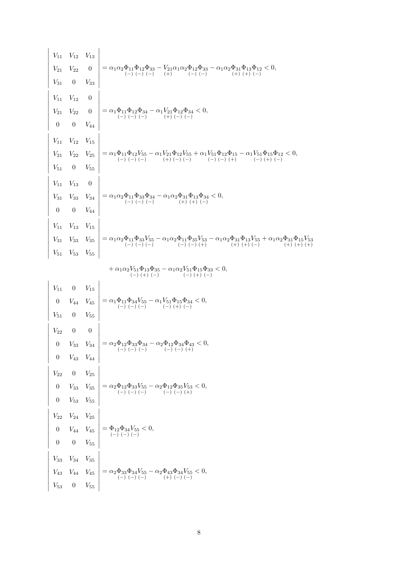$$
\begin{vmatrix} V_{11} & V_{12} & V_{13} \\ V_{21} & V_{22} & 0 \\ V_{31} & 0 & V_{33} \\ V_{41} & 0 & V_{43} \\ V_{41} & V_{42} & 0 \\ V_{41} & V_{42} & 0 \\ V_{41} & V_{42} & 0 \\ V_{41} & V_{42} & 0 \\ V_{41} & V_{42} & 0 \\ V_{41} & V_{42} & 0 \\ V_{41} & V_{42} & V_{43} \\ V_{41} & V_{42} & V_{43} \\ V_{41} & V_{42} & V_{43} \\ V_{41} & V_{42} & V_{43} \\ V_{41} & V_{42} & V_{43} \\ V_{41} & V_{42} & V_{43} \\ V_{41} & V_{42} & V_{43} \\ V_{41} & V_{42} & V_{43} \\ V_{41} & V_{42} & V_{43} \\ V_{41} & V_{41} & V_{43} \\ V_{41} & V_{42} & V_{43} \\ V_{41} & V_{42} & V_{43} \\ V_{41} & V_{42} & V_{43} \\ V_{41} & V_{42} & V_{43} \\ V_{41} & V_{42} & V_{43} \\ V_{41} & V_{42} & V_{43} \\ V_{41} & V_{42} & V_{43} \\ V_{41} & V_{42} & V_{43} \\ V_{41} & V_{42} & V_{43} \\ V_{41} & V_{42} & V_{43} \\ V_{41} & V_{42} & V_{43} \\ V_{41} & V_{43} & V_{44} \\ V_{41} & V_{43} & V_{44} \\ V_{41} & V_{43} & V_{44} \\ V_{41} & V_{43} & V_{44} \\ V_{41} & V_{43} & V_{44} \\ V_{41} & V_{43} & V_{44} \\ V_{41} & V_{43} & V_{43} \\ V_{41} & V_{43} & V_{43} \\ V_{41} & V_{43} & V_{43} \\ V_{41} & V_{43} & V_{43} \\ V_{41} & V_{43} & V_{43} \\ V_{41} & V_{43} & V_{43} \\ V_{41} & V
$$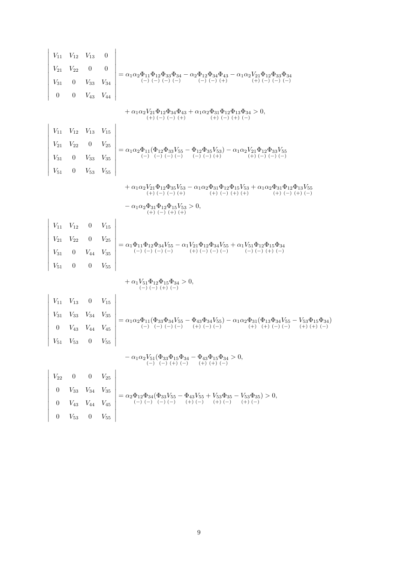$$
\begin{vmatrix}\nV_{11} & V_{12} & V_{13} & 0 \\
V_{21} & V_{22} & 0 & 0 \\
V_{31} & 0 & V_{33} & V_{34} \\
0 & 0 & V_{43} & V_{44}\n\end{vmatrix} = \alpha_1 \alpha_2 \Phi_{11} \Phi_{12} \Phi_{33} \Phi_{34} - \alpha_2 \Phi_{12} \Phi_{34} \Phi_{43} - \alpha_1 \alpha_2 V_{21} \Phi_{12} \Phi_{33} \Phi_{34} \\
+ \alpha_1 \alpha_2 V_{21} \Phi_{12} \Phi_{34} \Phi_{43} + \alpha_1 \alpha_2 \Phi_{31} \Phi_{12} \Phi_{13} \Phi_{34} > 0, \\
V_{11} & V_{12} & V_{13} & V_{15} \\
V_{21} & V_{22} & 0 & V_{25} \\
V_{31} & 0 & V_{33} & V_{35} \\
V_{31} & 0 & V_{33} & V_{35} \\
+ \alpha_1 \alpha_2 V_{21} \Phi_{12} \Phi_{35} V_{53} - \alpha_1 \alpha_2 \Phi_{31} \Phi_{12} \Phi_{13} V_{53} - \alpha_1 \alpha_2 V_{21} \Phi_{12} \Phi_{23} V_{55} \\
+ \alpha_1 \alpha_2 V_{21} \Phi_{12} \Phi_{35} V_{53} - \alpha_1 \alpha_2 \Phi_{31} \Phi_{12} \Phi_{13} V_{53} + \alpha_1 \alpha_2 \Phi_{31} \Phi_{12} \Phi_{13} V_{55} \\
+ \alpha_1 \alpha_2 V_{21} \Phi_{12} \Phi_{35} V_{53} - \alpha_1 \alpha_2 \Phi_{31} \Phi_{12} \Phi_{13} V_{53} + \alpha_1 \alpha_2 \Phi_{31} \Phi_{12} \Phi_{13} V_{55} \\
+ \alpha_1 \alpha_2 V_{21} \Phi_{12} \Phi_{35} V_{53} - \alpha_1 \alpha_2 \Phi_{31} \Phi_{12} \Phi_{13} V_{53} + \alpha_1 \alpha_2 \Phi_{31} \Phi_{12} \Phi_{13} V_{55} \\
+ \alpha_1 \alpha_2 V_{21} \Phi_{12} \Phi_{13} V_{53} > 0, \\
V_{1
$$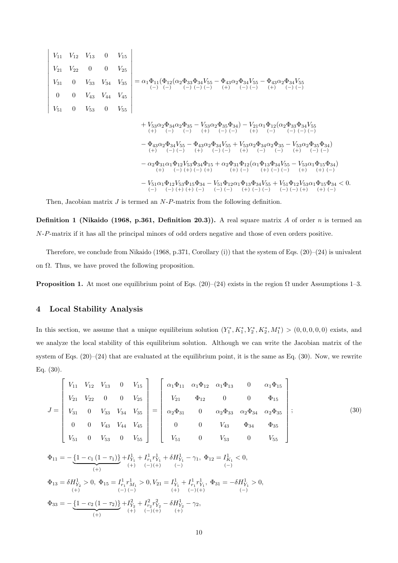$$
\left|\begin{array}{cccccc} V_{11} & V_{12} & V_{13} & 0 & V_{15} \\ V_{21} & V_{22} & 0 & 0 & V_{25} \\ V_{31} & 0 & V_{33} & V_{34} & V_{35} \\ V_{51} & 0 & V_{53} & 0 & V_{55} \\ \end{array}\right| = \alpha_{1}\Phi_{11}(\Phi_{12}(\alpha_{2}\Phi_{33}\Phi_{34}V_{55} - \Phi_{43}\alpha_{2}\Phi_{34}V_{55} - \Phi_{43}\alpha_{2}\Phi_{34}V_{55} \\ \left. + V_{53}\alpha_{2}\Phi_{34}\alpha_{2}\Phi_{35} - V_{53}\alpha_{2}\Phi_{35}\Phi_{34}\right) - V_{21}\alpha_{1}\Phi_{12}(\alpha_{2}\Phi_{33}\Phi_{34}V_{55} \\ \left. + V_{53}\alpha_{2}\Phi_{34}\alpha_{2}\Phi_{35} - V_{53}\alpha_{2}\Phi_{35}\Phi_{34}\right) - V_{21}\alpha_{1}\Phi_{12}(\alpha_{2}\Phi_{33}\Phi_{34}V_{55} \\ \left. + V_{53}\alpha_{2}\Phi_{34}\alpha_{2}\Phi_{35} - V_{53}\alpha_{2}\Phi_{35}\Phi_{34}\right) - V_{21}\alpha_{1}\Phi_{12}(\alpha_{2}\Phi_{33}\Phi_{34}V_{55} \\ \left. + V_{53}\alpha_{2}\Phi_{34}V_{55} - \Phi_{43}\alpha_{2}\Phi_{34}V_{55} + V_{53}\alpha_{2}\Phi_{34}\alpha_{2}\Phi_{35} - V_{53}\alpha_{2}\Phi_{35}\Phi_{34}\right) \\ \left. - \Phi_{43}\alpha_{2}\Phi_{34}V_{55} - \Phi_{43}\alpha_{2}\Phi_{34}V_{55} + V_{53}\alpha_{2}\Phi_{34}\alpha_{2}\Phi_{35} - V_{53}\alpha_{2}\Phi_{35}\Phi_{34}\right) \\ \left. - \alpha_{2}\Phi_{31}\alpha_{1}\Phi_{12}V_{53}\Phi_{34}\Phi_{15} + \alpha_{2}\Phi_{31}\Phi_{12}(\alpha_{1}\Phi_{13}\Phi_{34}V_{55} - V_{53}\alpha_{1}\Phi_{15}\Phi_{34}) \\ \left. - V_{51}\alpha_{1}\Phi_{12}V_{53}\Phi_{15}\
$$

Then, Jacobian matrix *J* is termed an *N*-*P*-matrix from the following definition.

**Definition 1 (Nikaido (1968, p.361, Definition 20.3)).** A real square matrix *A* of order *n* is termed an *N*-*P*-matrix if it has all the principal minors of odd orders negative and those of even orders positive.

Therefore, we conclude from Nikaido (1968, p.371, Corollary (i)) that the system of Eqs. (20)–(24) is univalent on  $\Omega$ . Thus, we have proved the following proposition.

**Proposition 1.** At most one equilibrium point of Eqs. (20)–(24) exists in the region  $\Omega$  under Assumptions 1–3.

## **4 Local Stability Analysis**

In this section, we assume that a unique equilibrium solution  $(Y_1^*, K_1^*, Y_2^*, K_2^*, M_1^*)$  >  $(0,0,0,0,0)$  exists, and we analyze the local stability of this equilibrium solution. Although we can write the Jacobian matrix of the system of Eqs.  $(20)-(24)$  that are evaluated at the equilibrium point, it is the same as Eq.  $(30)$ . Now, we rewrite Eq. (30).

$$
J = \begin{bmatrix} V_{11} & V_{12} & V_{13} & 0 & V_{15} \\ V_{21} & V_{22} & 0 & 0 & V_{25} \\ V_{31} & 0 & V_{33} & V_{34} & V_{35} \\ 0 & 0 & V_{43} & V_{44} & V_{45} \\ V_{51} & 0 & V_{53} & 0 & V_{55} \end{bmatrix} = \begin{bmatrix} \alpha_1 \Phi_{11} & \alpha_1 \Phi_{12} & \alpha_1 \Phi_{13} & 0 & \alpha_1 \Phi_{15} \\ V_{21} & \Phi_{12} & 0 & 0 & \Phi_{15} \\ \alpha_2 \Phi_{31} & 0 & \alpha_2 \Phi_{33} & \alpha_2 \Phi_{34} & \alpha_2 \Phi_{35} \\ 0 & 0 & V_{43} & \Phi_{34} & \Phi_{35} \\ V_{51} & 0 & V_{53} & 0 & V_{55} \end{bmatrix};
$$
(30)  

$$
\Phi_{11} = -\underbrace{\{1 - c_1 (1 - \tau_1)\} + I_{Y_1}^1 + I_{Y_1}^1 + I_{Y_1}^1 + I_{Y_1}^1 + \delta H_{Y_1}^1 - \gamma_1, \Phi_{12} = I_{K_1}^1 < 0, \tag{30}
$$

$$
\begin{array}{l} \Phi_{13}=\delta H^1_{Y_2}>0,\ \Phi_{15}=I^1_{r_1}r^1_{M_1}>0,V_{21}=I^1_{Y_1}+I^1_{r_1}r^1_{Y_1},\ \Phi_{31}=-\delta H^1_{Y_1}>0,\\ \qquad \qquad (+)\qquad \qquad (-)\ (-)\qquad \qquad (+)\qquad \qquad (-)\ (+)\\ \Phi_{33}=-\underbrace{\left\{1-c_2\left(1-\tau_2\right)\right\}}_{\text{(+)}}+I^2_{Y_2}+I^2_{r_2}r^2_{Y_2}-\delta H^1_{Y_2}-\gamma_2,\\ \qquad \qquad (+)\qquad \qquad (-)\ (+)\qquad \qquad (+)\qquad \qquad (+)\end{array}
$$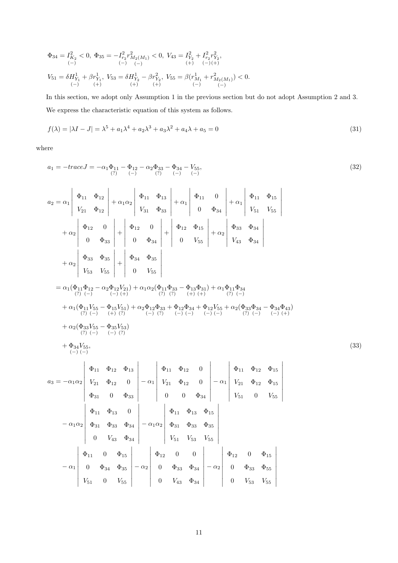$$
\begin{array}{l} \Phi_{34}=I_{K_{2}}^{2}<0,\;\Phi_{35}=-I_{r_{2}}^{2}r_{M_{2}(M_{1})}^{2}<0,\;V_{43}=I_{Y_{2}}^{2}+I_{r_{2}}^{2}r_{Y_{2}}^{2},\\ \qquad \ (-)\hspace{0.5cm} (-)\hspace{0.5cm} (-)\hspace{0.5cm} (-)\hspace{0.5cm} (+)\hspace{0.5cm} (+)\hspace{0.5cm} (-)(+)\\ \end{array}
$$
 
$$
V_{51}=\delta H_{Y_{1}}^{1}+\beta r_{Y_{1}}^{1},\;V_{53}=\delta H_{Y_{2}}^{1}-\beta r_{Y_{2}}^{2},\;V_{55}=\beta (r_{M_{1}}^{1}+r_{M_{2}(M_{1})}^{2})<0.
$$

In this section, we adopt only Assumption 1 in the previous section but do not adopt Assumption 2 and 3. We express the characteristic equation of this system as follows.

$$
f(\lambda) = |\lambda I - J| = \lambda^5 + a_1 \lambda^4 + a_2 \lambda^3 + a_3 \lambda^2 + a_4 \lambda + a_5 = 0
$$
\n(31)

where

$$
a_1 = -trace J = -\alpha_1 \Phi_{11} - \Phi_{12} - \alpha_2 \Phi_{33} - \Phi_{34} - V_{55},
$$
  
(32)  
(32)

 $\overline{\phantom{a}}$  $\overline{\phantom{a}}$  $\overline{\phantom{a}}$  $\overline{\phantom{a}}$  $\overline{\phantom{a}}$  $\overline{\phantom{a}}$  $\overline{\phantom{a}}$  $\overline{\phantom{a}}$  $\overline{\phantom{a}}$  $\overline{\phantom{a}}$ 

$$
a_2 = \alpha_1 \begin{vmatrix} \Phi_{11} & \Phi_{12} \\ V_{21} & \Phi_{12} \end{vmatrix} + \alpha_1 \alpha_2 \begin{vmatrix} \Phi_{11} & \Phi_{13} \\ V_{31} & \Phi_{33} \end{vmatrix} + \alpha_1 \begin{vmatrix} \Phi_{11} & 0 \\ 0 & \Phi_{34} \end{vmatrix} + \alpha_1 \begin{vmatrix} \Phi_{11} & \Phi_{15} \\ V_{51} & V_{55} \end{vmatrix}
$$
  
+ 
$$
\alpha_2 \begin{vmatrix} \Phi_{12} & 0 \\ 0 & \Phi_{33} \end{vmatrix} + \begin{vmatrix} \Phi_{12} & 0 \\ 0 & \Phi_{34} \end{vmatrix} + \begin{vmatrix} \Phi_{12} & \Phi_{15} \\ 0 & V_{55} \end{vmatrix} + \alpha_2 \begin{vmatrix} \Phi_{33} & \Phi_{34} \\ V_{43} & \Phi_{34} \end{vmatrix}
$$
  
+ 
$$
\alpha_2 \begin{vmatrix} \Phi_{33} & \Phi_{35} \\ V_{53} & V_{55} \end{vmatrix} + \begin{vmatrix} \Phi_{34} & \Phi_{35} \\ 0 & V_{55} \end{vmatrix}
$$
  
= 
$$
\alpha_1(\Phi_{11}\Phi_{12} - \alpha_2\Phi_{12}V_{21}) + \alpha_1\alpha_2(\Phi_{11}\Phi_{33} - \Phi_{13}\Phi_{31}) + \alpha_1\Phi_{11}\Phi_{34}
$$
  
+ 
$$
\alpha_1(\Phi_{11}V_{55} - \Phi_{15}V_{51}) + \alpha_2\Phi_{12}\Phi_{33} + \Phi_{12}\Phi_{34} + \Phi_{12}V_{55} + \alpha_2(\Phi_{33}\Phi_{34} - \Phi_{34}\Phi_{43})
$$
  
+ 
$$
\alpha_1(\Phi_{11}V_{55} - \Phi_{15}V_{51}) + \alpha_2\Phi_{12}\Phi_{33} + \Phi_{12}\Phi_{34} + \Phi_{12}V_{55} + \alpha_2(\Phi_{33}\Phi_{34} - \Phi_{34}\Phi_{43})
$$
  
+ 
$$
\alpha_2(\Phi_{33}V_{55} - \Phi_{35}V_{53})
$$
  
+ 
$$
\alpha_2(\
$$

$$
a_3 = -\alpha_1 \alpha_2 \begin{vmatrix} \Phi_{11} & \Phi_{12} & \Phi_{13} \\ V_{21} & \Phi_{12} & 0 \\ \Phi_{31} & 0 & \Phi_{33} \end{vmatrix} - \alpha_1 \begin{vmatrix} \Phi_{11} & \Phi_{12} & 0 \\ V_{21} & \Phi_{12} & 0 \\ 0 & 0 & \Phi_{34} \end{vmatrix} - \alpha_1 \begin{vmatrix} \Phi_{11} & \Phi_{12} & \Phi_{15} \\ V_{21} & \Phi_{12} & 0 \\ V_{51} & 0 & V_{55} \end{vmatrix}
$$

$$
- \alpha_1 \alpha_2 \begin{vmatrix} \Phi_{11} & \Phi_{13} & 0 \\ \Phi_{31} & \Phi_{33} & \Phi_{34} \\ 0 & V_{43} & \Phi_{34} \end{vmatrix} - \alpha_1 \alpha_2 \begin{vmatrix} \Phi_{11} & \Phi_{13} & \Phi_{15} \\ \Phi_{31} & \Phi_{33} & \Phi_{35} \\ V_{51} & V_{53} & V_{55} \end{vmatrix}
$$

$$
- \alpha_1 \begin{vmatrix} \Phi_{11} & 0 & \Phi_{15} \\ 0 & \Phi_{34} & \Phi_{35} \\ V_{51} & 0 & V_{55} \end{vmatrix} - \alpha_2 \begin{vmatrix} \Phi_{12} & 0 & 0 \\ 0 & \Phi_{33} & \Phi_{34} \\ 0 & V_{43} & \Phi_{34} \end{vmatrix} - \alpha_2 \begin{vmatrix} \Phi_{12} & 0 & \Phi_{15} \\ 0 & \Phi_{33} & \Phi_{55} \\ 0 & V_{53} & V_{55} \end{vmatrix}
$$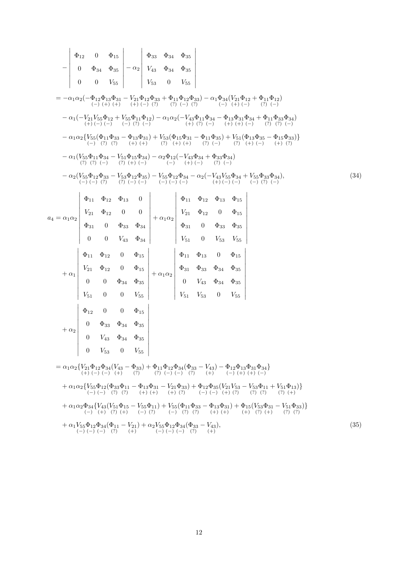*−* Φ<sup>12</sup> 0 Φ<sup>15</sup> 0 Φ<sup>34</sup> Φ<sup>35</sup> 0 0 *V*<sup>55</sup> *− α*<sup>2</sup> Φ<sup>33</sup> Φ<sup>34</sup> Φ<sup>35</sup> *V*<sup>43</sup> Φ<sup>34</sup> Φ<sup>35</sup> *V*<sup>53</sup> 0 *V*<sup>55</sup> = *−α*1*α*2(*−*Φ<sup>12</sup> (*−*) Φ<sup>13</sup> (+) Φ<sup>31</sup> (+) *− V*<sup>21</sup> (+) Φ<sup>12</sup> (*−*) Φ<sup>33</sup> (?) + Φ<sup>11</sup> (?) Φ<sup>12</sup> (*−*) Φ<sup>33</sup> (?) ) *− α*1Φ<sup>34</sup> (*−*) (*V*<sup>21</sup> (+) Φ<sup>12</sup> (*−*) + Φ<sup>11</sup> (?) Φ<sup>12</sup> (*−*) ) *− α*1(*−V*<sup>21</sup> (+) *V*<sup>55</sup> (*−*) Φ<sup>12</sup> (*−*) + *V*<sup>55</sup> (*−*) Φ<sup>11</sup> (?) Φ<sup>12</sup> (*−*) ) *− α*1*α*2(*−V*<sup>43</sup> (+) Φ<sup>11</sup> (?) Φ<sup>34</sup> (*−*) *−* Φ<sup>13</sup> (+) Φ<sup>31</sup> (+) Φ<sup>34</sup> (*−*) + Φ<sup>11</sup> (?) Φ<sup>33</sup> (?) Φ<sup>34</sup> (*−*) ) *− α*1*α*2*{V*<sup>55</sup> (*−*) (Φ<sup>11</sup> (?) Φ<sup>33</sup> (?) *−* Φ<sup>13</sup> (+) Φ<sup>31</sup> (+) ) + *V*<sup>53</sup> (?) (Φ<sup>15</sup> (+) Φ<sup>31</sup> (+) *−* Φ<sup>11</sup> (?) Φ<sup>35</sup> (*−*) ) + *V*<sup>51</sup> (?) (Φ<sup>13</sup> (+) Φ<sup>35</sup> (*−*) *−* Φ<sup>15</sup> (+) Φ<sup>33</sup> (?) )*} − α*1(*V*<sup>55</sup> (?) Φ<sup>11</sup> (?) Φ<sup>34</sup> (*−*) *− V*<sup>51</sup> (?) Φ<sup>15</sup> (+) Φ<sup>34</sup> (*−*) ) *− α*2Φ<sup>12</sup> (*−*) (*−V*<sup>43</sup> (+) Φ<sup>34</sup> (*−*) + Φ<sup>33</sup> (?) Φ<sup>34</sup> (*−*) ) *− α*2(*V*<sup>55</sup> (*−*) Φ<sup>12</sup> (*−*) Φ<sup>33</sup> (?) *− V*<sup>53</sup> (?) Φ<sup>12</sup> (*−*) Φ<sup>35</sup> (*−*) ) *− V*<sup>55</sup> (*−*) Φ<sup>12</sup> (*−*) Φ<sup>34</sup> (*−*) *− α*2(*−V*<sup>43</sup> (+) *V*<sup>55</sup> (*−*) Φ<sup>34</sup> (*−*) + *V*<sup>55</sup> (*−*) Φ<sup>33</sup> (?) Φ<sup>34</sup> (*−*) )*,* (34) *a*<sup>4</sup> = *α*1*α*<sup>2</sup> Φ<sup>11</sup> Φ<sup>12</sup> Φ<sup>13</sup> 0 *V*<sup>21</sup> Φ<sup>12</sup> 0 0 Φ<sup>31</sup> 0 Φ<sup>33</sup> Φ<sup>34</sup> 0 0 *V*<sup>43</sup> Φ<sup>34</sup> + *α*1*α*<sup>2</sup> Φ<sup>11</sup> Φ<sup>12</sup> Φ<sup>13</sup> Φ<sup>15</sup> *V*<sup>21</sup> Φ<sup>12</sup> 0 Φ<sup>15</sup> Φ<sup>31</sup> 0 Φ<sup>33</sup> Φ<sup>35</sup> *V*<sup>51</sup> 0 *V*<sup>53</sup> *V*<sup>55</sup> + *α*<sup>1</sup> Φ<sup>11</sup> Φ<sup>12</sup> 0 Φ<sup>15</sup> *V*<sup>21</sup> Φ<sup>12</sup> 0 Φ<sup>15</sup> 0 0 Φ<sup>34</sup> Φ<sup>35</sup> *V*<sup>51</sup> 0 0 *V*<sup>55</sup> + *α*1*α*<sup>2</sup> Φ<sup>11</sup> Φ<sup>13</sup> 0 Φ<sup>15</sup> Φ<sup>31</sup> Φ<sup>33</sup> Φ<sup>34</sup> Φ<sup>35</sup> 0 *V*<sup>43</sup> Φ<sup>34</sup> Φ<sup>35</sup> *V*<sup>51</sup> *V*<sup>53</sup> 0 *V*<sup>55</sup> + *α*<sup>2</sup>    0 *V*<sup>53</sup> 0 *V*<sup>55</sup> Φ<sup>12</sup> 0 0 Φ<sup>15</sup> 0 Φ<sup>33</sup> Φ<sup>34</sup> Φ<sup>35</sup> 0 *V*<sup>43</sup> Φ<sup>34</sup> Φ<sup>35</sup> 

 $= \alpha_1 \alpha_2 \{ V_{21} \Phi_{12} \atop (+) (-)}$ (*−*)  $\Phi_{34}$ (*−*)  $(V_{43} - \Phi_{33}) + \Phi_{11}\Phi_{12}$ <br>  $(+)$  (?) (?) (-) (*−*)  $\Phi_{34}$ (*−*)  $(\Phi_{33} - V_{43}) - \Phi_{12}$ <br>(?)  $(+)$   $(-)$ (*−*)  $\Phi_{13}\Phi_{31}\Phi_{34}$ <br>(+) (+) (-) (*−*) *}*  $+ \alpha_1 \alpha_2 \{V_{55}$ (*−*)  $\Phi_{12}$ (*−*)  $(\Phi_{33}\Phi_{11}-\Phi_{13}\Phi_{31}-V_{21}\Phi_{33})+\Phi_{12}$ <br>
(?) (?) (+) (+) (+) (?) (-) (*−*)  $\Phi_{35}$ (*−*)  $(V_{21}V_{53} - V_{53}\Phi_{11} + V_{51}\Phi_{13})\}$ <br>  $(+)$  (?) (?) (?) (?) (?) (+)  $+\alpha_1\alpha_2\Phi_{34}$ (*−*)  ${V_{43}(V_{51}\Phi_{15} - V_{55} \atop (+) (?) (+)}$ (*−*)  $\Phi_{11}) + V_{55}$ <br>(?) (-) (*−*)  $\{\Phi_{11}\Phi_{33} - \Phi_{13}\Phi_{31}\} + \Phi_{15}\left(V_{53}\Phi_{31} - V_{51}\Phi_{33}\right)\}\$ <br>(?) (?) (+) (+) (+) (?) (+) (?) (7)  $+ \alpha_1 V_{55}$ (*−*)  $\Phi_{12}$ (*−*)  $\Phi_{34}$ (*−*)  $(\Phi_{11} - V_{21}) + \alpha_2 V_{55}$ <br>(?) (+) (*−*)  $\Phi_{12}$ (*−*)  $\Phi_{34}$ (*−*)  $(\Phi_{33} - V_{43})$ <br>(?)  $(+)$ )*,* (35)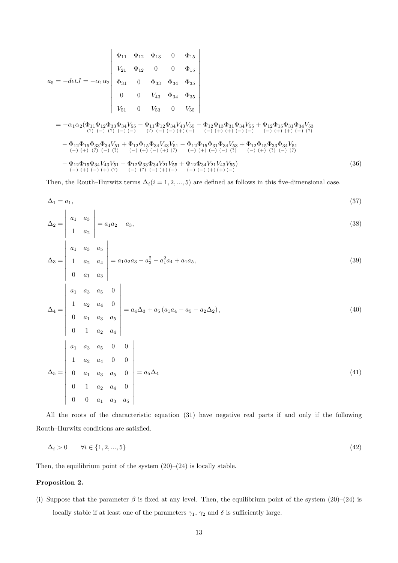*a*<sup>5</sup> = *−detJ* = *−α*1*α*<sup>2</sup> Φ<sup>11</sup> Φ<sup>12</sup> Φ<sup>13</sup> 0 Φ<sup>15</sup> *V*<sup>21</sup> Φ<sup>12</sup> 0 0 Φ<sup>15</sup> Φ<sup>31</sup> 0 Φ<sup>33</sup> Φ<sup>34</sup> Φ<sup>35</sup> 0 0 *V*<sup>43</sup> Φ<sup>34</sup> Φ<sup>35</sup> *V*<sup>51</sup> 0 *V*<sup>53</sup> 0 *V*<sup>55</sup> = *−α*1*α*2(Φ<sup>11</sup> (?) Φ<sup>12</sup> (*−*) Φ<sup>33</sup> (?) Φ<sup>34</sup> (*−*) *V*<sup>55</sup> (*−*) *−* Φ<sup>11</sup> (?) Φ<sup>12</sup> (*−*) Φ<sup>34</sup> (*−*) *V*<sup>43</sup> (+) *V*<sup>55</sup> (*−*) *−* Φ<sup>12</sup> (*−*) Φ<sup>13</sup> (+) Φ<sup>31</sup> (+) Φ<sup>34</sup> (*−*) *V*<sup>55</sup> (*−*) + Φ<sup>12</sup> (*−*) Φ<sup>15</sup> (+) Φ<sup>31</sup> (+) Φ<sup>34</sup> (*−*) *V*<sup>53</sup> (?) *−* Φ<sup>12</sup> (*−*) Φ<sup>15</sup> (+) Φ<sup>33</sup> (?) Φ<sup>34</sup> (*−*) *V*<sup>51</sup> (?) + Φ<sup>12</sup> (*−*) Φ<sup>15</sup> (+) Φ<sup>34</sup> (*−*) *V*<sup>43</sup> (+) *V*<sup>51</sup> (?) *−* Φ<sup>12</sup> (*−*) Φ<sup>15</sup> (+) Φ<sup>31</sup> (+) Φ<sup>34</sup> (*−*) *V*<sup>53</sup> (?) + Φ<sup>12</sup> (*−*) Φ<sup>15</sup> (+) Φ<sup>33</sup> (?) Φ<sup>34</sup> (*−*) *V*<sup>51</sup> (?) *−* Φ<sup>12</sup> (*−*) Φ<sup>15</sup> (+) Φ<sup>34</sup> (*−*) *V*<sup>43</sup> (+) *V*<sup>51</sup> (?) *−* Φ<sup>12</sup> (*−*) Φ<sup>33</sup> (?) Φ<sup>34</sup> (*−*) *V*<sup>21</sup> (+) *V*<sup>55</sup> (*−*) + Φ<sup>12</sup> (*−*) Φ<sup>34</sup> (*−*) *V*<sup>21</sup> (+) *V*<sup>43</sup> (+) *V*<sup>55</sup> (*−*) ) (36)

Then, the Routh–Hurwitz terms  $\Delta_i(i=1,2,...,5)$  are defined as follows in this five-dimensional case.

$$
\Delta_1 = a_1,\tag{37}
$$

$$
\Delta_2 = \begin{vmatrix} a_1 & a_3 \\ 1 & a_2 \end{vmatrix} = a_1 a_2 - a_3,
$$
\n(38)

$$
\Delta_3 = \begin{vmatrix} a_1 & a_3 & a_5 \\ 1 & a_2 & a_4 \\ 0 & a_1 & a_3 \end{vmatrix} = a_1 a_2 a_3 - a_3^2 - a_1^2 a_4 + a_1 a_5,
$$
\n(39)

$$
\Delta_4 = \begin{vmatrix}\na_1 & a_3 & a_5 & 0 \\
1 & a_2 & a_4 & 0 \\
0 & a_1 & a_3 & a_5 \\
0 & 1 & a_2 & a_4\n\end{vmatrix} = a_4 \Delta_3 + a_5 (a_1 a_4 - a_5 - a_2 \Delta_2),
$$
\n(40)\n
$$
\Delta_5 = \begin{vmatrix}\na_1 & a_3 & a_5 & 0 & 0 \\
1 & a_2 & a_4 & 0 & 0 \\
0 & a_1 & a_3 & a_5 & 0 \\
0 & 1 & a_2 & a_4 & 0 \\
0 & 0 & a_1 & a_3 & a_5\n\end{vmatrix} = a_5 \Delta_4
$$
\n(41)

All the roots of the characteristic equation (31) have negative real parts if and only if the following Routh–Hurwitz conditions are satisfied.

$$
\Delta_i > 0 \qquad \forall i \in \{1, 2, \dots, 5\} \tag{42}
$$

Then, the equilibrium point of the system  $(20)–(24)$  is locally stable.

#### **Proposition 2.**

(i) Suppose that the parameter  $\beta$  is fixed at any level. Then, the equilibrium point of the system (20)–(24) is locally stable if at least one of the parameters  $\gamma_1$ ,  $\gamma_2$  and  $\delta$  is sufficiently large.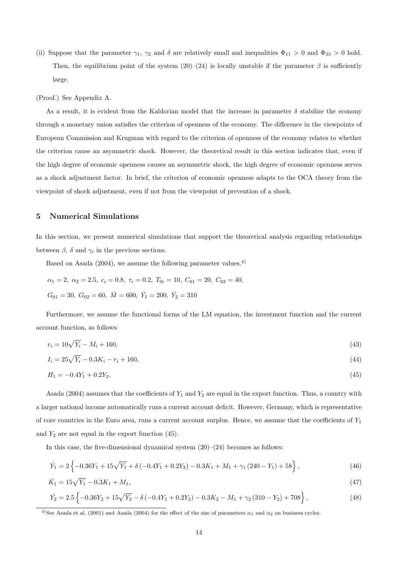(ii) Suppose that the parameter  $\gamma_1$ ,  $\gamma_2$  and  $\delta$  are relatively small and inequalities  $\Phi_{11} > 0$  and  $\Phi_{33} > 0$  hold. Then, the equilibrium point of the system  $(20)$ – $(24)$  is locally unstable if the parameter  $\beta$  is sufficiently large.

(Proof.) See Appendix A.

As a result, it is evident from the Kaldorian model that the increase in parameter  $\delta$  stabilize the economy through a monetary union satisfies the criterion of openness of the economy. The difference in the viewpoints of European Commission and Krugman with regard to the criterion of openness of the economy relates to whether the criterion cause an asymmetric shock. However, the theoretical result in this section indicates that, even if the high degree of economic openness causes an asymmetric shock, the high degree of economic openness serves as a shock adjustment factor. In brief, the criterion of economic openness adapts to the OCA theory from the viewpoint of shock adjustment, even if not from the viewpoint of prevention of a shock.

#### **5 Numerical Simulations**

In this section, we present numerical simulations that support the theoretical analysis regarding relationships between  $\beta$ ,  $\delta$  and  $\gamma_i$  in the previous sections.

Based on Asada  $(2004)$ , we assume the following parameter values.<sup>4)</sup>

$$
\alpha_1 = 2, \ \alpha_2 = 2.5, \ c_i = 0.8, \ \tau_i = 0.2, \ T_{0i} = 10, \ C_{01} = 20, \ C_{02} = 40,
$$
  
 $G_{01} = 30, \ G_{02} = 60, \ \bar{M} = 600, \ \bar{Y}_1 = 200, \ \bar{Y}_2 = 310$ 

Furthermore, we assume the functional forms of the LM equation, the investment function and the current account function, as follows:

$$
r_i = 10\sqrt{Y_i} - M_i + 160,\tag{43}
$$

$$
I_i = 25\sqrt{Y_i} - 0.3K_i - r_i + 160,\tag{44}
$$

$$
H_1 = -0.4Y_1 + 0.2Y_2. \tag{45}
$$

Asada (2004) assumes that the coefficients of  $Y_1$  and  $Y_2$  are equal in the export function. Thus, a country with a larger national income automatically runs a current account deficit. However, Germany, which is representative of core countries in the Euro area, runs a current account surplus. Hence, we assume that the coefficients of *Y*<sup>1</sup> and  $Y_2$  are not equal in the export function  $(45)$ .

In this case, the five-dimensional dynamical system  $(20)$ – $(24)$  becomes as follows:

$$
\dot{Y}_1 = 2\left\{-0.36Y_1 + 15\sqrt{Y_1} + \delta\left(-0.4Y_1 + 0.2Y_2\right) - 0.3K_1 + M_1 + \gamma_1\left(240 - Y_1\right) + 58\right\},\tag{46}
$$

$$
\dot{K}_1 = 15\sqrt{Y_1} - 0.3K_1 + M_1,\tag{47}
$$

$$
\dot{Y}_2 = 2.5 \left\{ -0.36Y_2 + 15\sqrt{Y_2} - \delta \left( -0.4Y_1 + 0.2Y_2 \right) - 0.3K_2 - M_1 + \gamma_2 \left( 310 - Y_2 \right) + 708 \right\},\tag{48}
$$

<sup>&</sup>lt;sup>4)</sup>See Asada et al. (2001) and Asada (2004) for the effect of the size of parameters  $\alpha_1$  and  $\alpha_2$  on business cycles.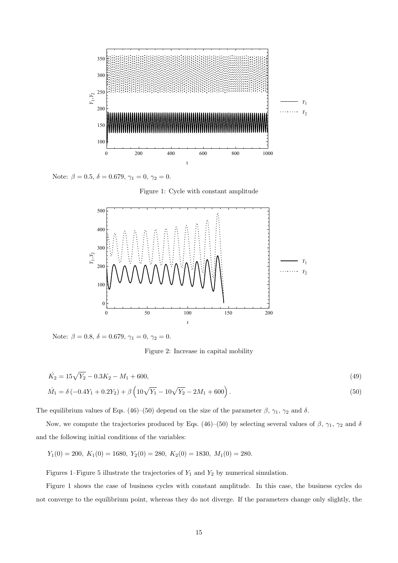

Note:  $\beta = 0.5$ ,  $\delta = 0.679$ ,  $\gamma_1 = 0$ ,  $\gamma_2 = 0$ .





Note:  $\beta = 0.8, \delta = 0.679, \gamma_1 = 0, \gamma_2 = 0.$ 

Figure 2: Increase in capital mobility

$$
\dot{K}_2 = 15\sqrt{Y_2} - 0.3K_2 - M_1 + 600,\tag{49}
$$

$$
\dot{M}_1 = \delta \left( -0.4Y_1 + 0.2Y_2 \right) + \beta \left( 10\sqrt{Y_1} - 10\sqrt{Y_2} - 2M_1 + 600 \right). \tag{50}
$$

The equilibrium values of Eqs. (46)–(50) depend on the size of the parameter  $\beta$ ,  $\gamma_1$ ,  $\gamma_2$  and  $\delta$ .

Now, we compute the trajectories produced by Eqs. (46)–(50) by selecting several values of *β*, *γ*1, *γ*<sup>2</sup> and *δ* and the following initial conditions of the variables:

$$
Y_1(0) = 200
$$
,  $K_1(0) = 1680$ ,  $Y_2(0) = 280$ ,  $K_2(0) = 1830$ ,  $M_1(0) = 280$ .

Figures 1–Figure 5 illustrate the trajectories of *Y*<sup>1</sup> and *Y*<sup>2</sup> by numerical simulation.

Figure 1 shows the case of business cycles with constant amplitude. In this case, the business cycles do not converge to the equilibrium point, whereas they do not diverge. If the parameters change only slightly, the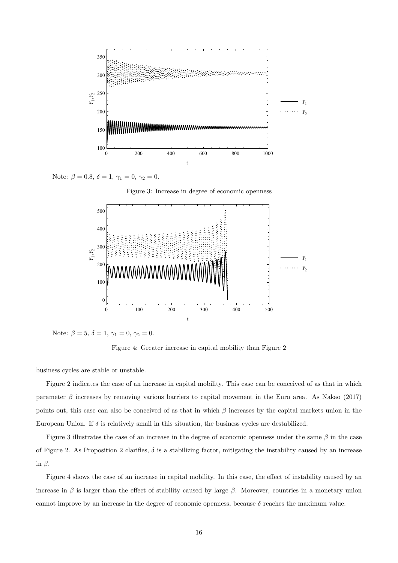

Note:  $\beta = 0.8, \delta = 1, \gamma_1 = 0, \gamma_2 = 0.$ 





Note:  $\beta = 5, \delta = 1, \gamma_1 = 0, \gamma_2 = 0.$ 

Figure 4: Greater increase in capital mobility than Figure 2

business cycles are stable or unstable.

Figure 2 indicates the case of an increase in capital mobility. This case can be conceived of as that in which parameter  $\beta$  increases by removing various barriers to capital movement in the Euro area. As Nakao (2017) points out, this case can also be conceived of as that in which *β* increases by the capital markets union in the European Union. If *δ* is relatively small in this situation, the business cycles are destabilized.

Figure 3 illustrates the case of an increase in the degree of economic openness under the same *β* in the case of Figure 2. As Proposition 2 clarifies,  $\delta$  is a stabilizing factor, mitigating the instability caused by an increase in *β*.

Figure 4 shows the case of an increase in capital mobility. In this case, the effect of instability caused by an increase in  $\beta$  is larger than the effect of stability caused by large  $\beta$ . Moreover, countries in a monetary union cannot improve by an increase in the degree of economic openness, because  $\delta$  reaches the maximum value.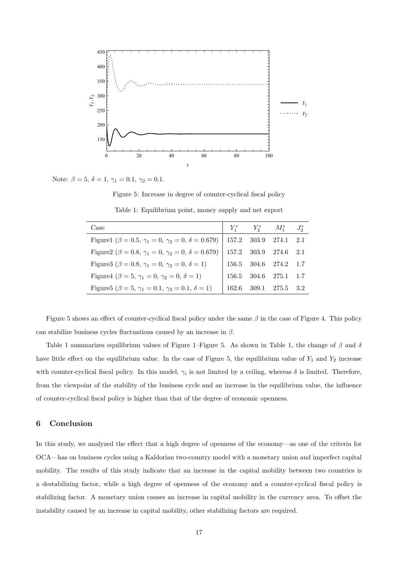

Note:  $\beta = 5, \delta = 1, \gamma_1 = 0.1, \gamma_2 = 0.1$ .

Figure 5: Increase in degree of counter-cyclical fiscal policy

| Case                                                                                                |       | $Y_1^*$ $Y_2^*$ $M_1^*$ $J_2^*$ |     |
|-----------------------------------------------------------------------------------------------------|-------|---------------------------------|-----|
| Figure 1 ( $\beta = 0.5$ , $\gamma_1 = 0$ , $\gamma_2 = 0$ , $\delta = 0.679$ )   157.2 303.9 274.1 |       |                                 | 2.1 |
| Figure 2 $(\beta = 0.8, \gamma_1 = 0, \gamma_2 = 0, \delta = 0.679)$                                |       | 157.2 303.9 274.6               | 2.1 |
| Figure 3 ( $\beta = 0.8$ , $\gamma_1 = 0$ , $\gamma_2 = 0$ , $\delta = 1$ )                         |       | 156.5 304.6 274.2 1.7           |     |
| Figure 4 ( $\beta = 5$ , $\gamma_1 = 0$ , $\gamma_2 = 0$ , $\delta = 1$ )                           |       | 156.5 304.6 275.1 1.7           |     |
| Figure 5 ( $\beta = 5$ , $\gamma_1 = 0.1$ , $\gamma_2 = 0.1$ , $\delta = 1$ )                       | 162.6 | 309.1 275.5                     | 3.2 |

Table 1: Equilibrium point, money supply and net export

Figure 5 shows an effect of counter-cyclical fiscal policy under the same *β* in the case of Figure 4. This policy can stabilize business cycles fluctuations caused by an increase in *β*.

Table 1 summarizes equilibrium values of Figure 1–Figure 5. As shown in Table 1, the change of *β* and *δ* have little effect on the equilibrium value. In the case of Figure 5, the equilibrium value of  $Y_1$  and  $Y_2$  increase with counter-cyclical fiscal policy. In this model,  $\gamma_i$  is not limited by a ceiling, whereas  $\delta$  is limited. Therefore, from the viewpoint of the stability of the business cycle and an increase in the equilibrium value, the influence of counter-cyclical fiscal policy is higher than that of the degree of economic openness.

#### **6 Conclusion**

In this study, we analyzed the effect that a high degree of openness of the economy—as one of the criteria for OCA—has on business cycles using a Kaldorian two-country model with a monetary union and imperfect capital mobility. The results of this study indicate that an increase in the capital mobility between two countries is a destabilizing factor, while a high degree of openness of the economy and a counter-cyclical fiscal policy is stabilizing factor. A monetary union causes an increase in capital mobility in the currency area. To offset the instability caused by an increase in capital mobility, other stabilizing factors are required.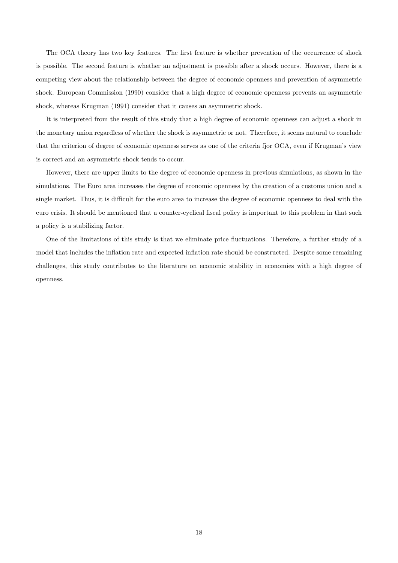The OCA theory has two key features. The first feature is whether prevention of the occurrence of shock is possible. The second feature is whether an adjustment is possible after a shock occurs. However, there is a competing view about the relationship between the degree of economic openness and prevention of asymmetric shock. European Commission (1990) consider that a high degree of economic openness prevents an asymmetric shock, whereas Krugman (1991) consider that it causes an asymmetric shock.

It is interpreted from the result of this study that a high degree of economic openness can adjust a shock in the monetary union regardless of whether the shock is asymmetric or not. Therefore, it seems natural to conclude that the criterion of degree of economic openness serves as one of the criteria fjor OCA, even if Krugman's view is correct and an asymmetric shock tends to occur.

However, there are upper limits to the degree of economic openness in previous simulations, as shown in the simulations. The Euro area increases the degree of economic openness by the creation of a customs union and a single market. Thus, it is difficult for the euro area to increase the degree of economic openness to deal with the euro crisis. It should be mentioned that a counter-cyclical fiscal policy is important to this problem in that such a policy is a stabilizing factor.

One of the limitations of this study is that we eliminate price fluctuations. Therefore, a further study of a model that includes the inflation rate and expected inflation rate should be constructed. Despite some remaining challenges, this study contributes to the literature on economic stability in economies with a high degree of openness.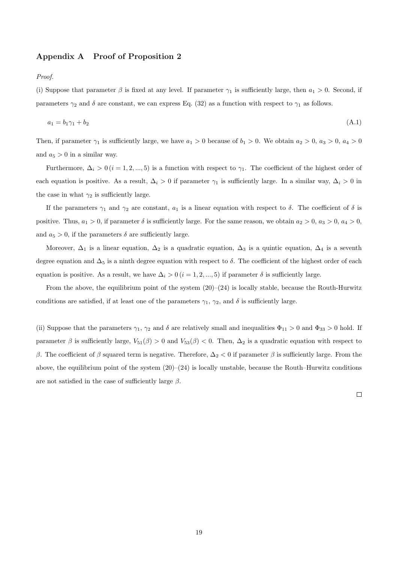## **Appendix A Proof of Proposition 2**

*Proof.*

(i) Suppose that parameter  $\beta$  is fixed at any level. If parameter  $\gamma_1$  is sufficiently large, then  $a_1 > 0$ . Second, if parameters  $\gamma_2$  and  $\delta$  are constant, we can express Eq. (32) as a function with respect to  $\gamma_1$  as follows.

$$
a_1 = b_1 \gamma_1 + b_2 \tag{A.1}
$$

Then, if parameter  $\gamma_1$  is sufficiently large, we have  $a_1 > 0$  because of  $b_1 > 0$ . We obtain  $a_2 > 0$ ,  $a_3 > 0$ ,  $a_4 > 0$ and  $a_5 > 0$  in a similar way.

Furthermore,  $\Delta_i > 0$  ( $i = 1, 2, ..., 5$ ) is a function with respect to  $\gamma_1$ . The coefficient of the highest order of each equation is positive. As a result,  $\Delta_i > 0$  if parameter  $\gamma_1$  is sufficiently large. In a similar way,  $\Delta_i > 0$  in the case in what  $\gamma_2$  is sufficiently large.

If the parameters  $\gamma_1$  and  $\gamma_2$  are constant,  $a_1$  is a linear equation with respect to  $\delta$ . The coefficient of  $\delta$  is positive. Thus,  $a_1 > 0$ , if parameter  $\delta$  is sufficiently large. For the same reason, we obtain  $a_2 > 0$ ,  $a_3 > 0$ ,  $a_4 > 0$ , and  $a_5 > 0$ , if the parameters  $\delta$  are sufficiently large.

Moreover,  $\Delta_1$  is a linear equation,  $\Delta_2$  is a quadratic equation,  $\Delta_3$  is a quintic equation,  $\Delta_4$  is a seventh degree equation and  $\Delta_5$  is a ninth degree equation with respect to  $\delta$ . The coefficient of the highest order of each equation is positive. As a result, we have  $\Delta_i > 0$  ( $i = 1, 2, ..., 5$ ) if parameter  $\delta$  is sufficiently large.

From the above, the equilibrium point of the system  $(20)$ – $(24)$  is locally stable, because the Routh-Hurwitz conditions are satisfied, if at least one of the parameters  $\gamma_1$ ,  $\gamma_2$ , and  $\delta$  is sufficiently large.

(ii) Suppose that the parameters  $\gamma_1$ ,  $\gamma_2$  and  $\delta$  are relatively small and inequalities  $\Phi_{11} > 0$  and  $\Phi_{33} > 0$  hold. If parameter  $\beta$  is sufficiently large,  $V_{51}(\beta) > 0$  and  $V_{53}(\beta) < 0$ . Then,  $\Delta_2$  is a quadratic equation with respect to *β*. The coefficient of *β* squared term is negative. Therefore,  $\Delta_2 < 0$  if parameter *β* is sufficiently large. From the above, the equilibrium point of the system  $(20)$ – $(24)$  is locally unstable, because the Routh–Hurwitz conditions are not satisfied in the case of sufficiently large *β*.

 $\Box$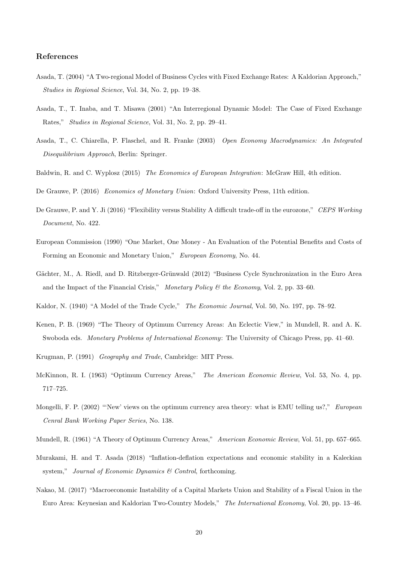## **References**

- Asada, T. (2004) "A Two-regional Model of Business Cycles with Fixed Exchange Rates: A Kaldorian Approach," *Studies in Regional Science*, Vol. 34, No. 2, pp. 19–38.
- Asada, T., T. Inaba, and T. Misawa (2001) "An Interregional Dynamic Model: The Case of Fixed Exchange Rates," *Studies in Regional Science*, Vol. 31, No. 2, pp. 29–41.
- Asada, T., C. Chiarella, P. Flaschel, and R. Franke (2003) *Open Economy Macrodynamics: An Integrated Disequilibrium Approach*, Berlin: Springer.
- Baldwin, R. and C. Wyplosz (2015) *The Economics of European Integration*: McGraw Hill, 4th edition.

De Grauwe, P. (2016) *Economics of Monetary Union*: Oxford University Press, 11th edition.

- De Grauwe, P. and Y. Ji (2016) "Flexibility versus Stability A difficult trade-off in the eurozone," *CEPS Working Document*, No. 422.
- European Commission (1990) "One Market, One Money An Evaluation of the Potential Benefits and Costs of Forming an Economic and Monetary Union," *European Economy*, No. 44.
- Gächter, M., A. Riedl, and D. Ritzberger-Grünwald (2012) "Business Cycle Synchronization in the Euro Area and the Impact of the Financial Crisis," *Monetary Policy & the Economy*, Vol. 2, pp. 33–60.

Kaldor, N. (1940) "A Model of the Trade Cycle," *The Economic Journal*, Vol. 50, No. 197, pp. 78–92.

- Kenen, P. B. (1969) "The Theory of Optimum Currency Areas: An Eclectic View," in Mundell, R. and A. K. Swoboda eds. *Monetary Problems of International Economy*: The University of Chicago Press, pp. 41–60.
- Krugman, P. (1991) *Geography and Trade*, Cambridge: MIT Press.
- McKinnon, R. I. (1963) "Optimum Currency Areas," *The American Economic Review*, Vol. 53, No. 4, pp. 717–725.
- Mongelli, F. P. (2002) "'New' views on the optimum currency area theory: what is EMU telling us?," *European Cenral Bank Working Paper Series*, No. 138.

Mundell, R. (1961) "A Theory of Optimum Currency Areas," *American Economic Review*, Vol. 51, pp. 657–665.

- Murakami, H. and T. Asada (2018) "Inflation-deflation expectations and economic stability in a Kaleckian system," *Journal of Economic Dynamics & Control*, forthcoming.
- Nakao, M. (2017) "Macroeconomic Instability of a Capital Markets Union and Stability of a Fiscal Union in the Euro Area: Keynesian and Kaldorian Two-Country Models," *The International Economy*, Vol. 20, pp. 13–46.